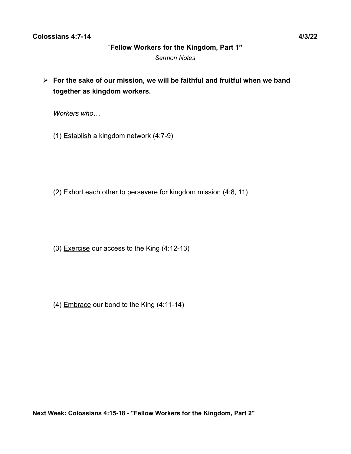### **Colossians 4:7-14 4/3/22**

#### "**Fellow Workers for the Kingdom, Part 1"**

*Sermon Notes*

➢ **For the sake of our mission, we will be faithful and fruitful when we band together as kingdom workers.**

*Workers who…*

(1) Establish a kingdom network (4:7-9)

(2) Exhort each other to persevere for kingdom mission (4:8, 11)

(3) Exercise our access to the King (4:12-13)

(4) Embrace our bond to the King (4:11-14)

**Next Week: Colossians 4:15-18 - "Fellow Workers for the Kingdom, Part 2"**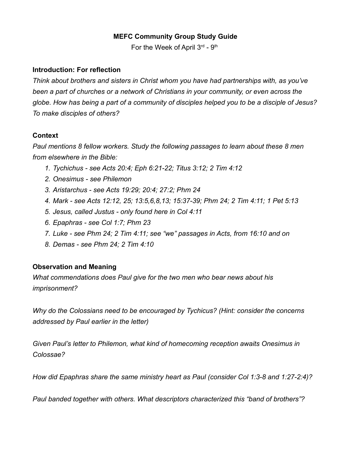# **MEFC Community Group Study Guide**

For the Week of April  $3^{rd}$  -  $9^{th}$ 

### **Introduction: For reflection**

*Think about brothers and sisters in Christ whom you have had partnerships with, as you've been a part of churches or a network of Christians in your community, or even across the globe. How has being a part of a community of disciples helped you to be a disciple of Jesus? To make disciples of others?*

# **Context**

*Paul mentions 8 fellow workers. Study the following passages to learn about these 8 men from elsewhere in the Bible:*

- *1. Tychichus see Acts 20:4; Eph 6:21-22; Titus 3:12; 2 Tim 4:12*
- *2. Onesimus see Philemon*
- *3. Aristarchus see Acts 19:29; 20:4; 27:2; Phm 24*
- *4. Mark see Acts 12:12, 25; 13:5,6,8,13; 15:37-39; Phm 24; 2 Tim 4:11; 1 Pet 5:13*
- *5. Jesus, called Justus only found here in Col 4:11*
- *6. Epaphras see Col 1:7; Phm 23*
- *7. Luke see Phm 24; 2 Tim 4:11; see "we" passages in Acts, from 16:10 and on*
- *8. Demas see Phm 24; 2 Tim 4:10*

# **Observation and Meaning**

*What commendations does Paul give for the two men who bear news about his imprisonment?*

*Why do the Colossians need to be encouraged by Tychicus? (Hint: consider the concerns addressed by Paul earlier in the letter)*

*Given Paul's letter to Philemon, what kind of homecoming reception awaits Onesimus in Colossae?*

*How did Epaphras share the same ministry heart as Paul (consider Col 1:3-8 and 1:27-2:4)?*

*Paul banded together with others. What descriptors characterized this "band of brothers"?*